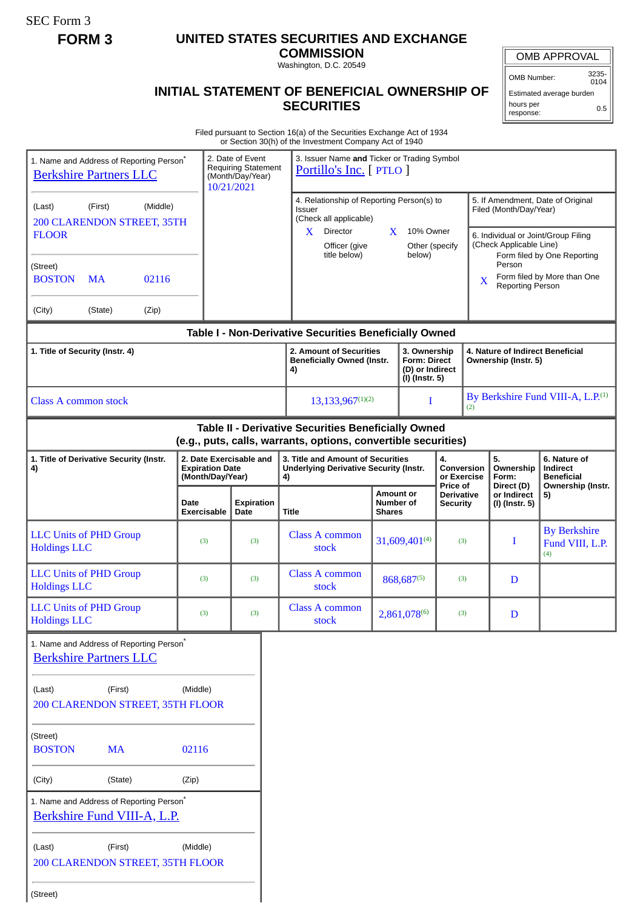SEC Form 3

## **FORM 3 UNITED STATES SECURITIES AND EXCHANGE**

**COMMISSION** Washington, D.C. 20549

OMB APPROVAL

OMB Number: 3235-  $0104$ 

Estimated average burden hours per response: 0.5

## **INITIAL STATEMENT OF BENEFICIAL OWNERSHIP OF SECURITIES**

Filed pursuant to Section 16(a) of the Securities Exchange Act of 1934 or Section 30(h) of the Investment Company Act of 1940

|                                                                                       |                                                                       |                                                                                  | or Section 30(ii) or the investment Company Act or 1940                                                               |                                                                          |                                             |                                                          |                                               |                                                             |                                                                    |
|---------------------------------------------------------------------------------------|-----------------------------------------------------------------------|----------------------------------------------------------------------------------|-----------------------------------------------------------------------------------------------------------------------|--------------------------------------------------------------------------|---------------------------------------------|----------------------------------------------------------|-----------------------------------------------|-------------------------------------------------------------|--------------------------------------------------------------------|
| 1. Name and Address of Reporting Person*<br><b>Berkshire Partners LLC</b>             |                                                                       | 2. Date of Event<br><b>Requiring Statement</b><br>(Month/Day/Year)<br>10/21/2021 | 3. Issuer Name and Ticker or Trading Symbol<br>Portillo's Inc. [ PTLO ]                                               |                                                                          |                                             |                                                          |                                               |                                                             |                                                                    |
| (Middle)<br>(First)<br>(Last)<br>200 CLARENDON STREET, 35TH                           |                                                                       |                                                                                  | Issuer                                                                                                                | 4. Relationship of Reporting Person(s) to<br>(Check all applicable)      |                                             |                                                          |                                               | 5. If Amendment, Date of Original<br>Filed (Month/Day/Year) |                                                                    |
| <b>FLOOR</b>                                                                          |                                                                       |                                                                                  | $X$ Director<br>Officer (give<br>title below)                                                                         | X                                                                        | 10% Owner<br>Other (specify<br>below)       |                                                          |                                               | (Check Applicable Line)                                     | 6. Individual or Joint/Group Filing<br>Form filed by One Reporting |
| (Street)<br><b>BOSTON</b><br><b>MA</b><br>02116                                       |                                                                       |                                                                                  |                                                                                                                       |                                                                          |                                             |                                                          | X                                             | Person<br><b>Reporting Person</b>                           | Form filed by More than One                                        |
| (Zip)<br>(City)<br>(State)                                                            |                                                                       |                                                                                  |                                                                                                                       |                                                                          |                                             |                                                          |                                               |                                                             |                                                                    |
|                                                                                       |                                                                       |                                                                                  | Table I - Non-Derivative Securities Beneficially Owned                                                                |                                                                          |                                             |                                                          |                                               |                                                             |                                                                    |
| 1. Title of Security (Instr. 4)                                                       |                                                                       |                                                                                  | 2. Amount of Securities<br><b>Beneficially Owned (Instr.</b><br>4)                                                    | 3. Ownership<br><b>Form: Direct</b><br>(D) or Indirect<br>(I) (Instr. 5) |                                             | 4. Nature of Indirect Beneficial<br>Ownership (Instr. 5) |                                               |                                                             |                                                                    |
| <b>Class A common stock</b>                                                           |                                                                       | $13,133,967^{(1)(2)}$                                                            |                                                                                                                       | I                                                                        |                                             | (2)                                                      | By Berkshire Fund VIII-A, L.P. <sup>(1)</sup> |                                                             |                                                                    |
|                                                                                       |                                                                       |                                                                                  | Table II - Derivative Securities Beneficially Owned<br>(e.g., puts, calls, warrants, options, convertible securities) |                                                                          |                                             |                                                          |                                               |                                                             |                                                                    |
| 1. Title of Derivative Security (Instr.<br>4)                                         | 2. Date Exercisable and<br><b>Expiration Date</b><br>(Month/Day/Year) |                                                                                  | 3. Title and Amount of Securities<br><b>Underlying Derivative Security (Instr.</b><br>4)                              |                                                                          | 4.<br>Conversion<br>or Exercise<br>Price of |                                                          |                                               | 5.<br>Ownership<br>Form:<br>Direct (D)                      | 6. Nature of<br>Indirect<br><b>Beneficial</b><br>Ownership (Instr. |
|                                                                                       | Date<br>Exercisable                                                   | <b>Expiration</b><br>Date                                                        | <b>Title</b>                                                                                                          | <b>Amount or</b><br>Number of<br><b>Shares</b>                           |                                             | <b>Derivative</b><br><b>Security</b>                     |                                               | or Indirect<br>(I) (Instr. 5)                               | 5)                                                                 |
| <b>LLC Units of PHD Group</b><br><b>Holdings LLC</b>                                  | (3)                                                                   | (3)                                                                              | <b>Class A common</b><br>stock                                                                                        |                                                                          | 31,609,401(4)                               |                                                          | (3)                                           | I                                                           | <b>By Berkshire</b><br>Fund VIII, L.P.<br>(4)                      |
| <b>LLC Units of PHD Group</b><br><b>Holdings LLC</b>                                  | (3)                                                                   | (3)                                                                              | <b>Class A common</b><br>stock                                                                                        |                                                                          | 868,687(5)                                  |                                                          | (3)                                           | D                                                           |                                                                    |
| <b>LLC Units of PHD Group</b><br><b>Holdings LLC</b>                                  | (3)                                                                   | (3)                                                                              | <b>Class A common</b><br>stock                                                                                        | 2,861,078(6)                                                             |                                             |                                                          | (3)                                           | D                                                           |                                                                    |
| 1. Name and Address of Reporting Person <sup>®</sup><br><b>Berkshire Partners LLC</b> |                                                                       |                                                                                  |                                                                                                                       |                                                                          |                                             |                                                          |                                               |                                                             |                                                                    |
| (First)<br>(Last)<br><b>200 CLARENDON STREET, 35TH FLOOR</b>                          | (Middle)                                                              |                                                                                  |                                                                                                                       |                                                                          |                                             |                                                          |                                               |                                                             |                                                                    |
| (Street)<br><b>MA</b><br><b>BOSTON</b>                                                | 02116                                                                 |                                                                                  |                                                                                                                       |                                                                          |                                             |                                                          |                                               |                                                             |                                                                    |
| (City)<br>(State)                                                                     | (Zip)                                                                 |                                                                                  |                                                                                                                       |                                                                          |                                             |                                                          |                                               |                                                             |                                                                    |
| 1. Name and Address of Reporting Person*<br>Berkshire Fund VIII-A, L.P.               |                                                                       |                                                                                  |                                                                                                                       |                                                                          |                                             |                                                          |                                               |                                                             |                                                                    |
| (First)<br>(Last)<br>200 CLARENDON STREET, 35TH FLOOR                                 | (Middle)                                                              |                                                                                  |                                                                                                                       |                                                                          |                                             |                                                          |                                               |                                                             |                                                                    |
| (Street)                                                                              |                                                                       |                                                                                  |                                                                                                                       |                                                                          |                                             |                                                          |                                               |                                                             |                                                                    |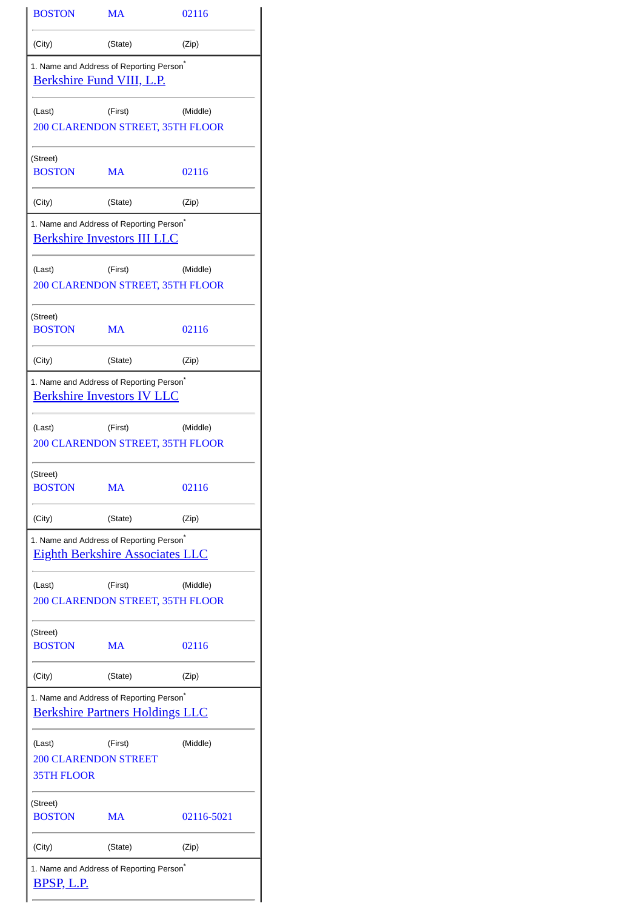| <b>BOSTON</b>                                                                     | MA                                                                                             | 02116      |  |  |  |
|-----------------------------------------------------------------------------------|------------------------------------------------------------------------------------------------|------------|--|--|--|
| (City)                                                                            | (State)                                                                                        | (Zip)      |  |  |  |
| 1. Name and Address of Reporting Person <sup>®</sup><br>Berkshire Fund VIII, L.P. |                                                                                                |            |  |  |  |
| (Last)                                                                            | (First)<br>200 CLARENDON STREET, 35TH FLOOR                                                    | (Middle)   |  |  |  |
| (Street)<br><b>BOSTON</b>                                                         | MA                                                                                             | 02116      |  |  |  |
| (City)                                                                            | (State)                                                                                        | (Zip)      |  |  |  |
|                                                                                   | 1. Name and Address of Reporting Person <sup>*</sup><br><b>Berkshire Investors III LLC</b>     |            |  |  |  |
| (Last)                                                                            | (First)<br>200 CLARENDON STREET, 35TH FLOOR                                                    | (Middle)   |  |  |  |
| (Street)<br><b>BOSTON</b>                                                         | <b>MA</b>                                                                                      | 02116      |  |  |  |
| (City)                                                                            | (State)                                                                                        | (Zip)      |  |  |  |
|                                                                                   | 1. Name and Address of Reporting Person <sup>®</sup><br><b>Berkshire Investors IV LLC</b>      |            |  |  |  |
| (Last)                                                                            | (First)<br>200 CLARENDON STREET, 35TH FLOOR                                                    | (Middle)   |  |  |  |
| (Street)<br><b>BOSTON</b>                                                         | MA                                                                                             | 02116      |  |  |  |
| (City)                                                                            | (State)                                                                                        | (Zip)      |  |  |  |
|                                                                                   | 1. Name and Address of Reporting Person <sup>*</sup><br><b>Eighth Berkshire Associates LLC</b> |            |  |  |  |
| (Last)                                                                            | (First)<br>200 CLARENDON STREET, 35TH FLOOR                                                    | (Middle)   |  |  |  |
| (Street)<br><b>BOSTON</b>                                                         | MA                                                                                             | 02116      |  |  |  |
| (City)                                                                            | (State)                                                                                        | (Zip)      |  |  |  |
|                                                                                   | 1. Name and Address of Reporting Person <sup>®</sup><br><u>Berkshire Partners Holdings LLC</u> |            |  |  |  |
| (Last)<br><b>200 CLARENDON STREET</b><br><b>35TH FLOOR</b>                        | (First)                                                                                        | (Middle)   |  |  |  |
| (Street)<br><b>BOSTON</b>                                                         | MA                                                                                             | 02116-5021 |  |  |  |
| (City)                                                                            | (State)                                                                                        | (Zip)      |  |  |  |
| <u>BPSP, L.P.</u>                                                                 | 1. Name and Address of Reporting Person <sup>®</sup>                                           |            |  |  |  |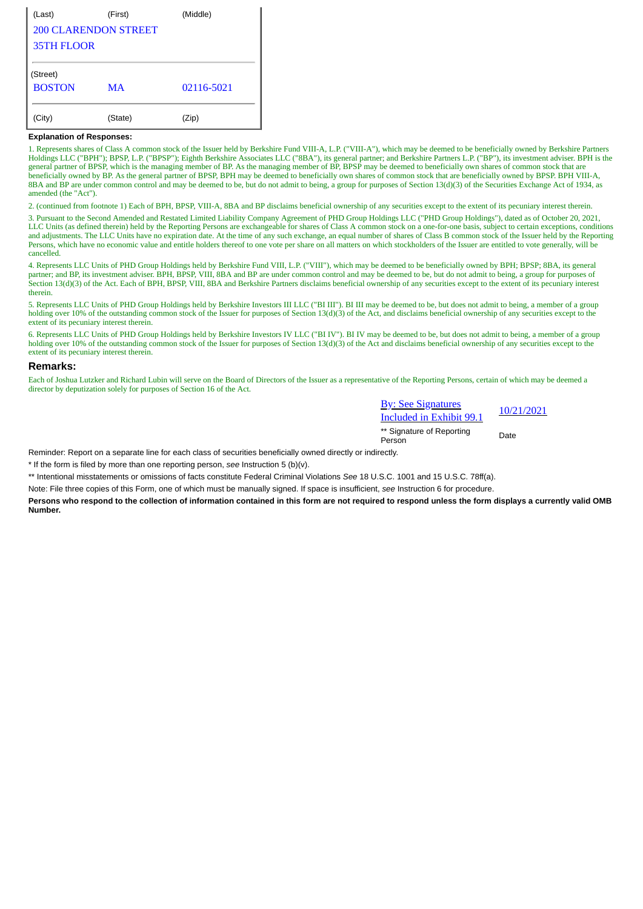| (Last)                      | (First) | (Middle)   |  |  |
|-----------------------------|---------|------------|--|--|
| <b>200 CLARENDON STREET</b> |         |            |  |  |
| <b>35TH FLOOR</b>           |         |            |  |  |
|                             |         |            |  |  |
| (Street)                    |         |            |  |  |
| <b>BOSTON</b>               | MA.     | 02116-5021 |  |  |
|                             |         |            |  |  |
| (City)                      | (State) | (Zip)      |  |  |

## **Explanation of Responses:**

1. Represents shares of Class A common stock of the Issuer held by Berkshire Fund VIII-A, L.P. ("VIII-A"), which may be deemed to be beneficially owned by Berkshire Partners Holdings LLC ("BPH"); BPSP, L.P. ("BPSP"); Eighth Berkshire Associates LLC ("8BA"), its general partner; and Berkshire Partners L.P. ("BP"), its investment adviser. BPH is the general partner of BPSP, which is the managing member of BP. As the managing member of BP, BPSP may be deemed to beneficially own shares of common stock that are beneficially owned by BP. As the general partner of BPSP, BPH may be deemed to beneficially own shares of common stock that are beneficially owned by BPSP. BPH VIII-A, 8BA and BP are under common control and may be deemed to be, but do not admit to being, a group for purposes of Section 13(d)(3) of the Securities Exchange Act of 1934, as amended (the "Act").

2. (continued from footnote 1) Each of BPH, BPSP, VIII-A, 8BA and BP disclaims beneficial ownership of any securities except to the extent of its pecuniary interest therein.

3. Pursuant to the Second Amended and Restated Limited Liability Company Agreement of PHD Group Holdings LLC ("PHD Group Holdings"), dated as of October 20, 2021, LLC Units (as defined therein) held by the Reporting Persons are exchangeable for shares of Class A common stock on a one-for-one basis, subject to certain exceptions, conditions and adjustments. The LLC Units have no expiration date. At the time of any such exchange, an equal number of shares of Class B common stock of the Issuer held by the Reporting Persons, which have no economic value and entitle holders thereof to one vote per share on all matters on which stockholders of the Issuer are entitled to vote generally, will be cancelled.

4. Represents LLC Units of PHD Group Holdings held by Berkshire Fund VIII, L.P. ("VIII"), which may be deemed to be beneficially owned by BPH; BPSP; 8BA, its general partner; and BP, its investment adviser. BPH, BPSP, VIII, 8BA and BP are under common control and may be deemed to be, but do not admit to being, a group for purposes of Section 13(d)(3) of the Act. Each of BPH, BPSP, VIII, 8BA and Berkshire Partners disclaims beneficial ownership of any securities except to the extent of its pecuniary interest therein.

5. Represents LLC Units of PHD Group Holdings held by Berkshire Investors III LLC ("BI III"). BI III may be deemed to be, but does not admit to being, a member of a group holding over 10% of the outstanding common stock of the Issuer for purposes of Section 13(d)(3) of the Act, and disclaims beneficial ownership of any securities except to the extent of its pecuniary interest therein.

6. Represents LLC Units of PHD Group Holdings held by Berkshire Investors IV LLC ("BI IV"). BI IV may be deemed to be, but does not admit to being, a member of a group holding over 10% of the outstanding common stock of the Issuer for purposes of Section 13(d)(3) of the Act and disclaims beneficial ownership of any securities except to the extent of its pecuniary interest therein.

## **Remarks:**

Each of Joshua Lutzker and Richard Lubin will serve on the Board of Directors of the Issuer as a representative of the Reporting Persons, certain of which may be deemed a director by deputization solely for purposes of Section 16 of the Act.

| <b>By: See Signatures</b>           | 10/21/2021 |  |  |
|-------------------------------------|------------|--|--|
| Included in Exhibit 99.1            |            |  |  |
| ** Signature of Reporting<br>Person | Date       |  |  |

Reminder: Report on a separate line for each class of securities beneficially owned directly or indirectly.

\* If the form is filed by more than one reporting person, *see* Instruction 5 (b)(v).

\*\* Intentional misstatements or omissions of facts constitute Federal Criminal Violations *See* 18 U.S.C. 1001 and 15 U.S.C. 78ff(a).

Note: File three copies of this Form, one of which must be manually signed. If space is insufficient, *see* Instruction 6 for procedure.

**Persons who respond to the collection of information contained in this form are not required to respond unless the form displays a currently valid OMB Number.**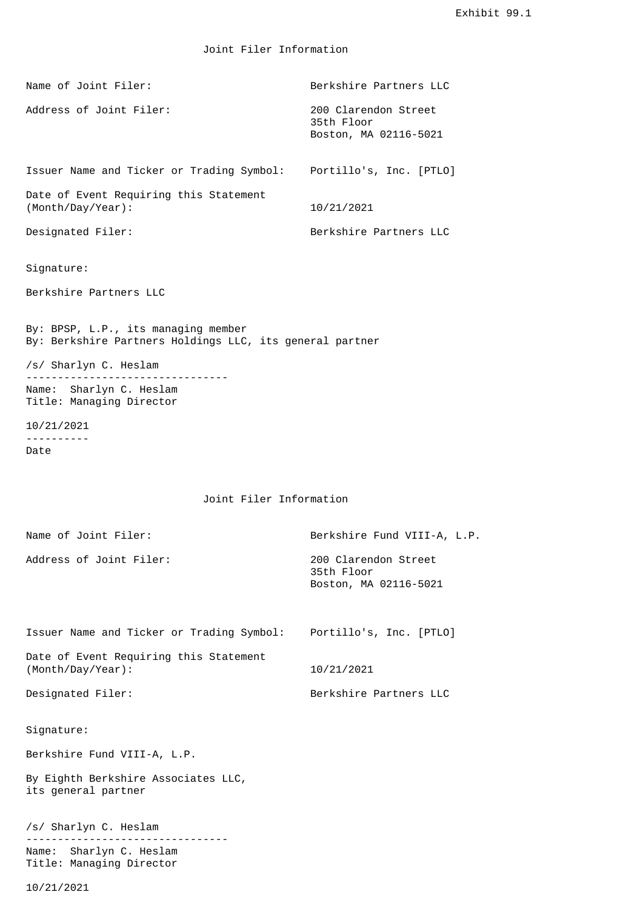Joint Filer Information

| Name of Joint Filer:                                                                            | Berkshire Partners LLC                                      |  |  |  |
|-------------------------------------------------------------------------------------------------|-------------------------------------------------------------|--|--|--|
| Address of Joint Filer:                                                                         | 200 Clarendon Street<br>35th Floor<br>Boston, MA 02116-5021 |  |  |  |
| Issuer Name and Ticker or Trading Symbol: Portillo's, Inc. [PTLO]                               |                                                             |  |  |  |
| Date of Event Requiring this Statement<br>(Month/Day/Year):                                     | 10/21/2021                                                  |  |  |  |
| Designated Filer:                                                                               | Berkshire Partners LLC                                      |  |  |  |
| Signature:                                                                                      |                                                             |  |  |  |
| Berkshire Partners LLC                                                                          |                                                             |  |  |  |
| By: BPSP, L.P., its managing member<br>By: Berkshire Partners Holdings LLC, its general partner |                                                             |  |  |  |
| /s/ Sharlyn C. Heslam                                                                           |                                                             |  |  |  |
| Name: Sharlyn C. Heslam<br>Title: Managing Director                                             |                                                             |  |  |  |
| 10/21/2021<br>.                                                                                 |                                                             |  |  |  |
| Date                                                                                            |                                                             |  |  |  |
| Joint Filer Information                                                                         |                                                             |  |  |  |
| Name of Joint Filer:                                                                            | Berkshire Fund VIII-A, L.P.                                 |  |  |  |
| Address of Joint Filer:                                                                         | 200 Clarendon Street<br>35th Floor<br>Boston, MA 02116-5021 |  |  |  |
| Issuer Name and Ticker or Trading Symbol:                                                       | Portillo's, Inc. [PTLO]                                     |  |  |  |
| Date of Event Requiring this Statement<br>(Month/Day/Year):                                     | 10/21/2021                                                  |  |  |  |

Designated Filer: Berkshire Partners LLC

Signature:

Berkshire Fund VIII-A, L.P.

By Eighth Berkshire Associates LLC, its general partner

/s/ Sharlyn C. Heslam -------------------------------- Name: Sharlyn C. Heslam Title: Managing Director

10/21/2021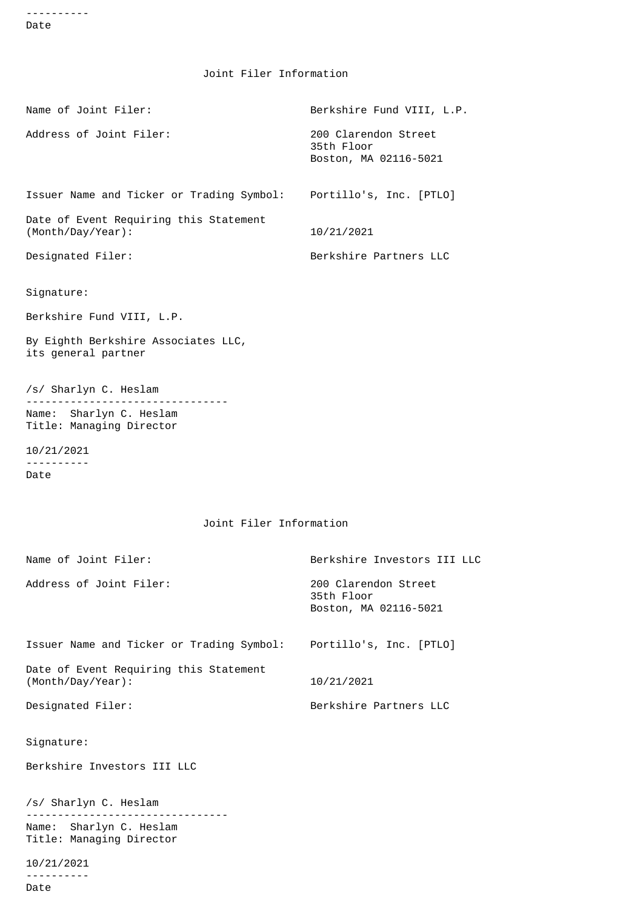---------- Date

Joint Filer Information

| Name of Joint Filer:                                        | Berkshire Fund VIII, L.P.                                   |
|-------------------------------------------------------------|-------------------------------------------------------------|
| Address of Joint Filer:                                     | 200 Clarendon Street<br>35th Floor<br>Boston, MA 02116-5021 |
| Issuer Name and Ticker or Trading Symbol:                   | Portillo's, Inc. [PTLO]                                     |
| Date of Event Requiring this Statement<br>(Month/Day/Year): | 10/21/2021                                                  |
| Designated Filer:                                           | Berkshire Partners LLC                                      |
| Signature:                                                  |                                                             |
| Berkshire Fund VIII, L.P.                                   |                                                             |
| By Eighth Berkshire Associates LLC,<br>its general partner  |                                                             |
| /s/ Sharlyn C. Heslam<br>.                                  |                                                             |
| Name: Sharlyn C. Heslam<br>Title: Managing Director         |                                                             |
| 10/21/2021                                                  |                                                             |
| Date                                                        |                                                             |
| Joint Filer Information                                     |                                                             |
|                                                             |                                                             |
| Name of Joint Filer:                                        | Berkshire Investors III LLC                                 |
| Address of Joint Filer:                                     | 200 Clarendon Street<br>35th Floor<br>Boston, MA 02116-5021 |
| Issuer Name and Ticker or Trading Symbol:                   | Portillo's, Inc. [PTLO]                                     |
| Date of Event Requiring this Statement<br>(Month/Day/Year): | 10/21/2021                                                  |
| Designated Filer:                                           | Berkshire Partners LLC                                      |
| Signature:                                                  |                                                             |
| Berkshire Investors III LLC                                 |                                                             |
| /s/ Sharlyn C. Heslam                                       |                                                             |

-------------------------------- Name: Sharlyn C. Heslam Title: Managing Director

10/21/2021 ---------- Date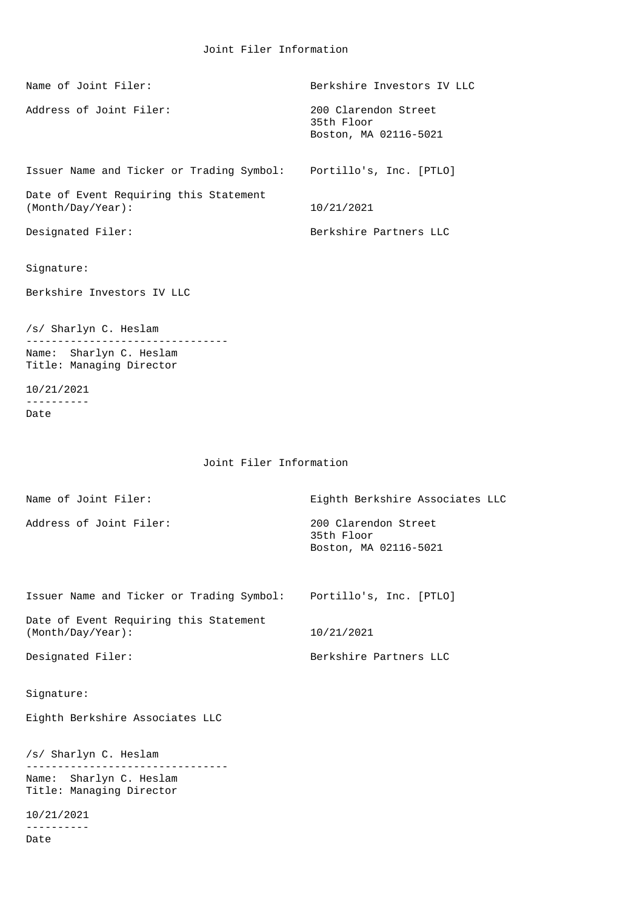| Name of Joint Filer:                                                         | Berkshire Investors IV LLC                                  |
|------------------------------------------------------------------------------|-------------------------------------------------------------|
| Address of Joint Filer:                                                      | 200 Clarendon Street<br>35th Floor<br>Boston, MA 02116-5021 |
| Issuer Name and Ticker or Trading Symbol:                                    | Portillo's, Inc. [PTLO]                                     |
| Date of Event Requiring this Statement<br>(Month/Day/Year):                  | 10/21/2021                                                  |
| Designated Filer:                                                            | Berkshire Partners LLC                                      |
| Signature:                                                                   |                                                             |
| Berkshire Investors IV LLC                                                   |                                                             |
| /s/ Sharlyn C. Heslam<br>Name: Sharlyn C. Heslam<br>Title: Managing Director |                                                             |
| 10/21/2021<br>.                                                              |                                                             |
| Date                                                                         |                                                             |
| Joint Filer Information                                                      |                                                             |
| Name of Joint Filer:                                                         | Eighth Berkshire Associates LLC                             |
| Address of Joint Filer:                                                      | 200 Clarendon Street<br>35th Floor<br>Boston, MA 02116-5021 |
| Issuer Name and Ticker or Trading Symbol:                                    | Portillo's, Inc. [PTLO]                                     |
| Date of Event Requiring this Statement<br>(Month/Day/Year):                  | 10/21/2021                                                  |
| Designated Filer:                                                            | Berkshire Partners LLC                                      |
| Signature:                                                                   |                                                             |
| Eighth Berkshire Associates LLC                                              |                                                             |
| /s/ Sharlyn C. Heslam                                                        |                                                             |
| Name: Sharlyn C. Heslam<br>Title: Managing Director                          |                                                             |

10/21/2021 ---------- Date